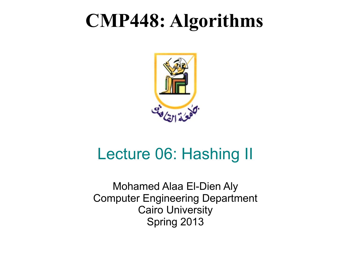#### **CMP448: Algorithms**



#### Lecture 06: Hashing II

Mohamed Alaa El-Dien Aly Computer Engineering Department Cairo University Spring 2013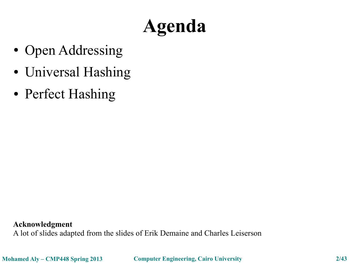### **Agenda**

- Open Addressing
- Universal Hashing
- Perfect Hashing

**Acknowledgment** A lot of slides adapted from the slides of Erik Demaine and Charles Leiserson

**Mohamed Aly – CMP448 Spring 2013 Computer Engineering, Cairo University 2/43**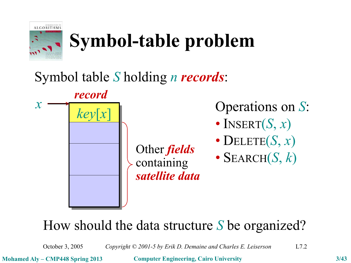

# **Symbol-table problem**

#### Symbol table *S* holding *n records*:



Operations on *S*:

- INSERT $(S, x)$
- DELETE $(S, x)$
- SEARCH $(S, k)$

#### How should the data structure *S* be organized?

October 3, 2005 *Copyright © 2001-5 by Erik D. Demaine and Charles E. Leiserson* L7.2

**Mohamed Aly – CMP448 Spring 2013 Computer Engineering, Cairo University 3/43**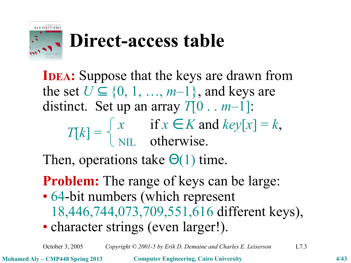

#### **Direct-access table**

**IDEA**: Suppose that the keys are drawn from the set  $U \subseteq \{0, 1, ..., m-1\}$ , and keys are distinct. Set up an array *T*[0 . . *m*–1]:  $T[k] =$  $x$  if  $x \in K$  and  $key[x] = k$ , NIL otherwise.

Then, operations take  $\Theta(1)$  time.

**Problem:** The range of keys can be large:

- 64-bit numbers (which represent 18,446,744,073,709,551,616 different keys),
- character strings (even larger!).

October 3, 2005 *Copyright © 2001-5 by Erik D. Demaine and Charles E. Leiserson* L7.3

**Mohamed Aly – CMP448 Spring 2013 Computer Engineering, Cairo University 4/43**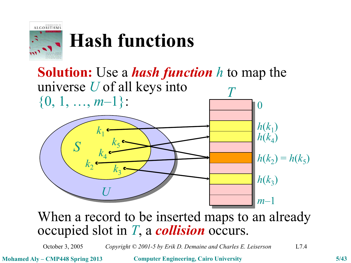

### **Hash functions**



#### when a record to be mserted maps to an anead When a record to be inserted maps to an already occupied slot in *T*, a *collision* occurs.

October 3, 2005 *Copyright © 2001-5 by Erik D. Demaine and Charles E. Leiserson* L7.4

**Mohamed Aly – CMP448 Spring 2013 Computer Engineering, Cairo University 5/43**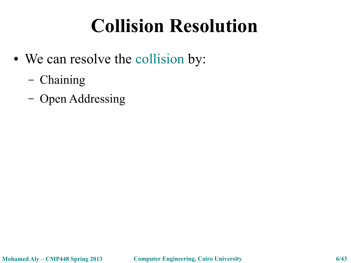### **Collision Resolution**

- We can resolve the collision by:
	- Chaining
	- Open Addressing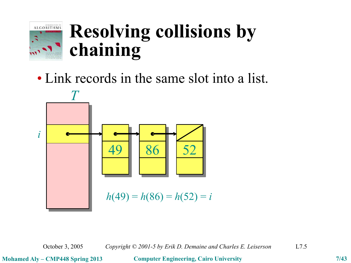

#### **Resolving collisions by chaining**

• Link records in the same slot into a list.



October 3, 2005 *Copyright © 2001-5 by Erik D. Demaine and Charles E. Leiserson* L7.5

**Mohamed Aly – CMP448 Spring 2013 Computer Engineering, Cairo University 7/43**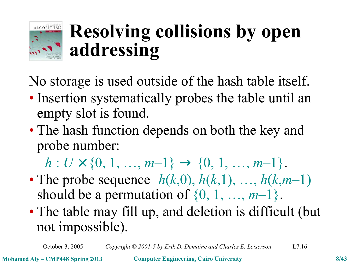

#### **Resolving collisions by open addressing**

No storage is used outside of the hash table itself.

- Insertion systematically probes the table until an empty slot is found.
- The hash function depends on both the key and probe number:

 $h: U \times \{0, 1, ..., m-1\} \rightarrow \{0, 1, ..., m-1\}.$ 

- The probe sequence  $\langle h(k,0), h(k,1), ..., h(k,m-1) \rangle$ should be a permutation of  $\{0, 1, ..., m-1\}$ .
- The table may fill up, and deletion is difficult (but not impossible).

October 3, 2005 *Copyright © 2001-5 by Erik D. Demaine and Charles E. Leiserson* L7.16

**Mohamed Aly – CMP448 Spring 2013 Computer Engineering, Cairo University 8/43**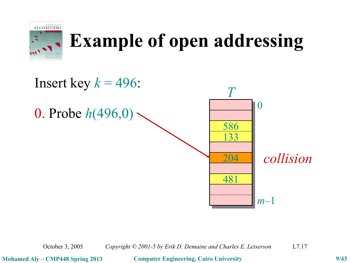



October 3, 2005 *Copyright © 2001-5 by Erik D. Demaine and Charles E. Leiserson* L7.17

**Mohamed Aly – CMP448 Spring 2013 Computer Engineering, Cairo University 9/43**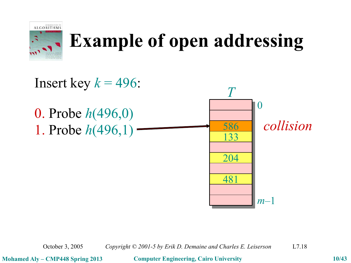



October 3, 2005 *Copyright © 2001-5 by Erik D. Demaine and Charles E. Leiserson* L7.18

**Mohamed Aly – CMP448 Spring 2013 Computer Engineering, Cairo University 10/43**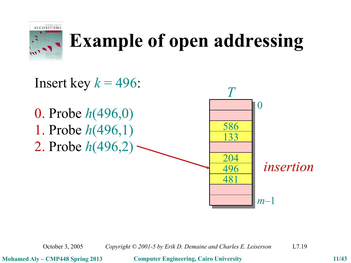



October 3, 2005 *Copyright © 2001-5 by Erik D. Demaine and Charles E. Leiserson* L7.19

**Mohamed Aly – CMP448 Spring 2013 Computer Engineering, Cairo University 11/43**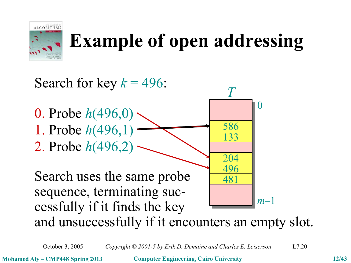

Search for key  $k = 496$ : 0. Probe *h*(496,0) 586 133 204 481 *T*  $\left($ *m*–1 1. Probe *h*(496,1) 496 2. Probe *h*(496,2) Search uses the same probe sequence, terminating successfully if it finds the key and unsuccessfully if it encounters an empty slot.

October 3, 2005 *Copyright © 2001-5 by Erik D. Demaine and Charles E. Leiserson* L7.20

**Mohamed Aly – CMP448 Spring 2013 Computer Engineering, Cairo University 12/43**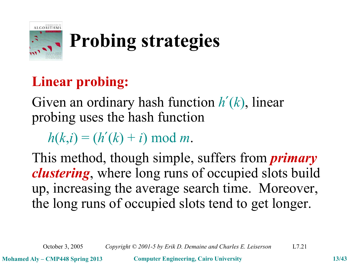

## **Probing strategies**

#### **Linear probing:**

Given an ordinary hash function *h*′(*k*), linear probing uses the hash function

 $h(k,i) = (h'(k) + i) \mod m$ .

This method, though simple, suffers from *primary clustering*, where long runs of occupied slots build up, increasing the average search time. Moreover, the long runs of occupied slots tend to get longer.

October 3, 2005 *Copyright © 2001-5 by Erik D. Demaine and Charles E. Leiserson* L7.21

**Mohamed Aly – CMP448 Spring 2013 Computer Engineering, Cairo University 13/43**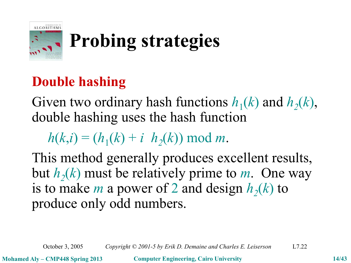

## **Probing strategies**

#### **Double hashing**

Given two ordinary hash functions  $h_1(k)$  and  $h_2(k)$ , double hashing uses the hash function

 $h(k,i) = (h_1(k) + i \; h_2(k)) \bmod m.$ 

This method generally produces excellent results, but *h<sup>2</sup>* (*k*) must be relatively prime to *m*. One way is to make *m* a power of 2 and design  $h_2(k)$  to produce only odd numbers.

October 3, 2005 *Copyright © 2001-5 by Erik D. Demaine and Charles E. Leiserson* L7.22

**Mohamed Aly – CMP448 Spring 2013 Computer Engineering, Cairo University 14/43**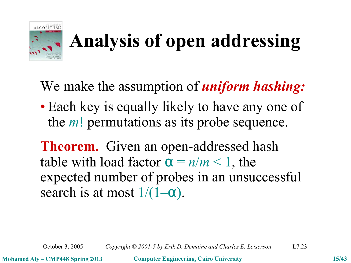

# **Analysis of open addressing**

We make the assumption of *uniform hashing:*

• Each key is equally likely to have any one of the *m*! permutations as its probe sequence.

**Theorem.** Given an open-addressed hash table with load factor  $\alpha = n/m < 1$ , the expected number of probes in an unsuccessful search is at most  $1/(1-\alpha)$ .

October 3, 2005 *Copyright © 2001-5 by Erik D. Demaine and Charles E. Leiserson* L7.23

**Mohamed Aly – CMP448 Spring 2013 Computer Engineering, Cairo University 15/43**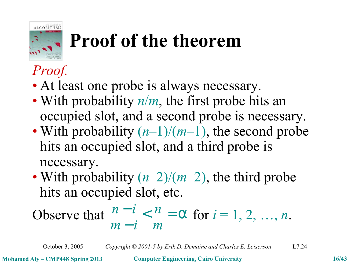

### **Proof of the theorem**

#### *Proof.*

- At least one probe is always necessary.
- With probability *n*/*m*, the first probe hits an occupied slot, and a second probe is necessary.
- With probability (*n*–1)/(*m*–1), the second probe hits an occupied slot, and a third probe is necessary.
- With probability (*n*–2)/(*m*–2), the third probe hits an occupied slot, etc.

Observe that 
$$
\frac{n-i}{m-i} < \frac{n}{m} = \alpha
$$
 for  $i = 1, 2, ..., n$ .

October 3, 2005 *Copyright © 2001-5 by Erik D. Demaine and Charles E. Leiserson* L7.24

**Mohamed Aly – CMP448 Spring 2013 Computer Engineering, Cairo University 16/43**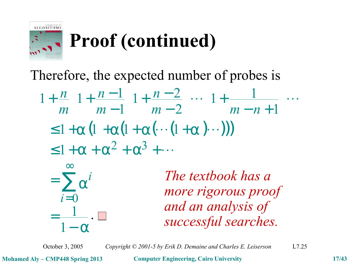

Therefore, the expected number of probes is

Ι  $\overline{\phantom{a}}$ È i<br>Lihat  $\overline{\mathcal{K}}$  $\sqrt{2}$ Ι  $\mathbf{\mathcal{L}}$  $\mathbf{I}$ i<br>Lihat<br>M  $\overline{\mathcal{K}}$  $\sqrt{}$  $\ddot{\phantom{0}}$  $\overline{\phantom{a}}$  $\mathbf{r}$   $\overline{\mathcal{K}}$  $\sqrt{}$ i<br>D  $\left\lfloor \frac{1}{2}\right\rfloor$ Ì i<br>L  $\overline{\mathcal{K}}$  $\sqrt{\phantom{a}}$  $- n +$ + −  $+\frac{n-1}{n}$ −  $+\frac{n}{1}+ \frac{n-1}{1}+ \frac{n-2}{2}...+ \frac{1}{1}...$ 1  $1 + \frac{1}{1}$ 2  $1 + \frac{n-2}{2}$ 1  $1 + \frac{n}{1} + \frac{n-1}{1}$  $m-2$   $\binom{n}{m-n}$ *n m n m n*  $\leq 1 + \alpha \left( 1 + \alpha \left( \cdots \left( 1 + \alpha \cdots \right) \cdots \right) \right)$  $\leq 1 + \alpha + \alpha^2 + \alpha^3 +$  $\alpha + \alpha^2 + \alpha^3 + \cdots$ 

$$
=\sum_{i=0}^{\infty} \alpha^i
$$

$$
=\frac{1}{1-\alpha}.
$$

*The textbook has a more rigorous proof and an analysis of successful searches.*

October 3, 2005 *Copyright © 2001-5 by Erik D. Demaine and Charles E. Leiserson* L7.25

**Mohamed Aly – CMP448 Spring 2013 Computer Engineering, Cairo University 17/43**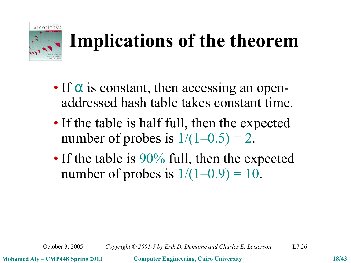

### **Implications of the theorem**

- If  $\alpha$  is constant, then accessing an openaddressed hash table takes constant time.
- If the table is half full, then the expected number of probes is  $1/(1-0.5) = 2$ .
- If the table is 90% full, then the expected number of probes is  $1/(1-0.9) = 10$ .

**Mohamed Aly – CMP448 Spring 2013 Computer Engineering, Cairo University 18/43**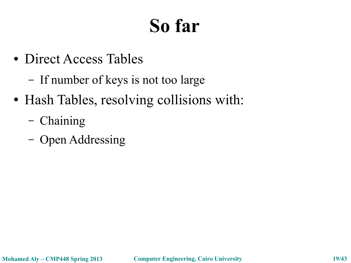#### **So far**

- Direct Access Tables
	- If number of keys is not too large
- Hash Tables, resolving collisions with:
	- Chaining
	- Open Addressing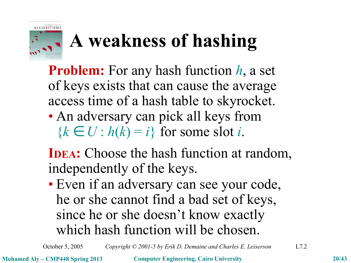

# **A weakness of hashing**

**Problem:** For any hash function *h*, a set of keys exists that can cause the average access time of a hash table to skyrocket.

• An adversary can pick all keys from  ${k \in U : h(k) = i}$  for some slot *i*.

**IDEA:** Choose the hash function at random, independently of the keys.

• Even if an adversary can see your code, he or she cannot find a bad set of keys, since he or she doesn't know exactly which hash function will be chosen.

October 5, 2005 *Copyright © 2001-5 by Erik D. Demaine and Charles E. Leiserson* L7.2

**Mohamed Aly – CMP448 Spring 2013 Computer Engineering, Cairo University 20/43**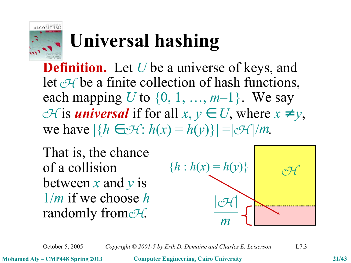

# **Universal hashing**

**Definition.** Let *U* be a universe of keys, and let A be a finite collection of hash functions, each mapping  $U$  to  $\{0, 1, ..., m-1\}$ . We say  $C$ *is universal* if for all  $x, y \in U$ , where  $x \neq y$ , we have  $|\{h \in \mathcal{H} : h(x) = h(y)\}| = |\mathcal{H}|/m$ .

That is, the chance of a collision  ${h : h(x) = h(y)}$ between *x* and *y* is  $1/m$  if we choose h randomly from  $H$ .



October 5, 2005 *Copyright © 2001-5 by Erik D. Demaine and Charles E. Leiserson* L7.3

**Mohamed Aly – CMP448 Spring 2013 Computer Engineering, Cairo University 21/43**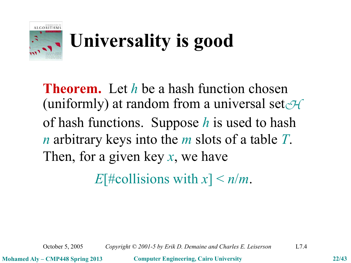

# **Universality is good**

**Theorem.** Let *h* be a hash function chosen (uniformly) at random from a universal set  $A$ of hash functions. Suppose *h* is used to hash *n* arbitrary keys into the *m* slots of a table *T*. Then, for a given key *x*, we have

*E*[#collisions with  $x$ ]  $\leq n/m$ .

October 5, 2005 *Copyright © 2001-5 by Erik D. Demaine and Charles E. Leiserson* L7.4

**Mohamed Aly – CMP448 Spring 2013 Computer Engineering, Cairo University 22/43**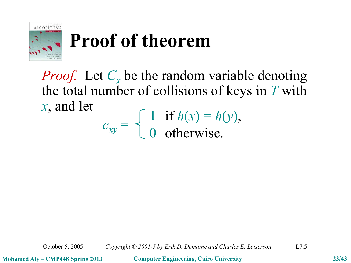

### **Proof of theorem**

*Proof.* Let  $C<sub>x</sub>$  be the random variable denoting the total number of collisions of keys in *T* with *x*, and let 1 if  $h(x) = h(y)$ ,

 $c_{xy}$  = 0 otherwise.

October 5, 2005 *Copyright © 2001-5 by Erik D. Demaine and Charles E. Leiserson* L7.5

**Mohamed Aly – CMP448 Spring 2013 Computer Engineering, Cairo University 23/43**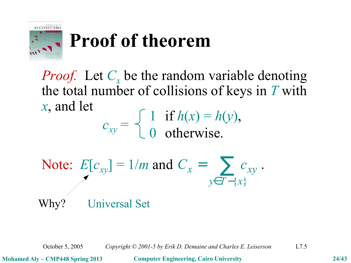

### **Proof of theorem**

*Proof.* Let  $C<sub>x</sub>$  be the random variable denoting the total number of collisions of keys in *T* with *x*, and let

1 if  $h(x) = h(y)$ ,  $c_{xy}$  = 0 otherwise.

Note: 
$$
E[c_{xy}] = 1/m
$$
 and  $C_x = \sum_{y \in T - \{x\}} c_{xy}$ .  
Why? Universal Set

October 5, 2005 *Copyright © 2001-5 by Erik D. Demaine and Charles E. Leiserson* L7.5

**Mohamed Aly – CMP448 Spring 2013 Computer Engineering, Cairo University 24/43**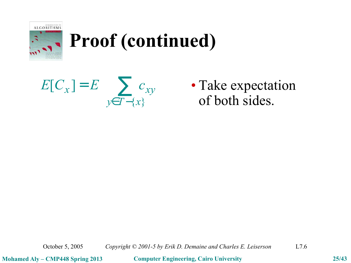

  $E[C_x] = E$   $\sum$  $\overline{\phantom{a}}$   $\overline{\phantom{a}}$ *cxy y*∈*T* −{*x*}

• Take expectation of both sides.

October 5, 2005 *Copyright © 2001-5 by Erik D. Demaine and Charles E. Leiserson* L7.6

**Mohamed Aly – CMP448 Spring 2013 Computer Engineering, Cairo University 25/43**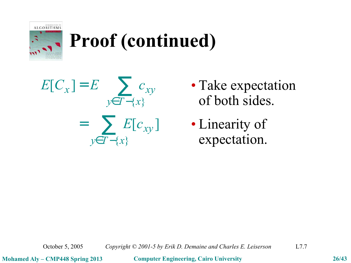

  $E[C_x] = E \Big| \sum c_{xy} \Big|$  • Take expectation  $\overline{\mathsf{L}}$   $\rfloor$ *cxy y*∈*T* −{*x*}  $= \sum E[c_{xy}]$  • Linearity of

- of both sides.
- $y \in T \{x\}$  expectation.

October 5, 2005 *Copyright © 2001-5 by Erik D. Demaine and Charles E. Leiserson* L7.7

**Mohamed Aly – CMP448 Spring 2013 Computer Engineering, Cairo University 26/43**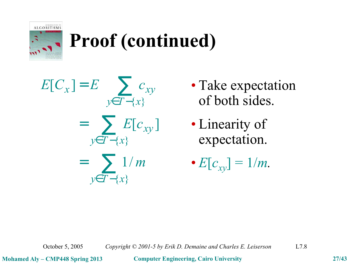

  $E[C_x] = E$   $\sum$  $\overline{\mathsf{L}}$   $\rfloor$ *cxy y*∈*T* −{*x*}  $= \sum_{y \in T - \{x\}} E[c_{xy}]$  $=$   $\sum 1/m$ *y*∈*T* −{*x*}

- Take expectation of both sides.
- Linearity of  $expectation.$
- $\bullet E[c_{xy}] = 1/m.$

October 5, 2005 *Copyright © 2001-5 by Erik D. Demaine and Charles E. Leiserson* L7.8

**Mohamed Aly – CMP448 Spring 2013 Computer Engineering, Cairo University 27/43**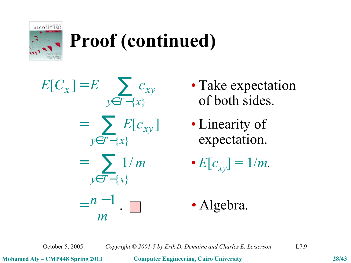

$$
E[C_x] = E\left[\sum_{y \in T - \{x\}} c_{xy}\right]
$$
 **Take**  
\n
$$
= \sum_{y \in T - \{x\}} E[c_{xy}]
$$
 **Line:**  
\n
$$
= \sum_{y \in T - \{x\}} 1/m
$$
 **•** 
$$
E[c_{xy}]
$$
  
\n
$$
= \frac{n-1}{m}.
$$
 **Alge**

- Take expectation of both sides.
- Linearity of  $e$ *x* pectation.

$$
\bullet E[c_{xy}] = 1/m.
$$

. • Algebra.

October 5, 2005 *Copyright © 2001-5 by Erik D. Demaine and Charles E. Leiserson* L7.9

**Mohamed Aly – CMP448 Spring 2013 Computer Engineering, Cairo University 28/43**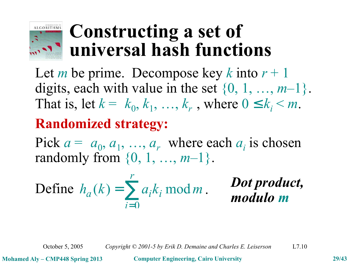

#### **Constructing a set of universal hash functions**

Let *m* be prime. Decompose key *k* into  $r + 1$ digits, each with value in the set  $\{0, 1, ..., m-1\}$ . That is, let  $k = \langle k_0, k_1, ..., k_r \rangle$ , where  $0 \le k_i \le m$ .

#### **Randomized strategy:**

Pick  $a = \langle a_0, a_1, ..., a_r \rangle$  where each  $a_i$  is chosen randomly from {0, 1, …, *m*–1}.

Define 
$$
h_a(k) = \sum_{i=0}^r a_i k_i \mod m
$$
. **Dot product,**  
**modulo m**

October 5, 2005 *Copyright © 2001-5 by Erik D. Demaine and Charles E. Leiserson* L7.10

**Mohamed Aly – CMP448 Spring 2013 Computer Engineering, Cairo University 29/43**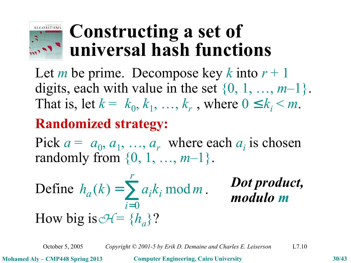

#### **Constructing a set of universal hash functions**

Let *m* be prime. Decompose key *k* into  $r + 1$ digits, each with value in the set  $\{0, 1, ..., m-1\}$ . That is, let  $k = \langle k_0, k_1, ..., k_r \rangle$ , where  $0 \le k_i \le m$ .

#### **Randomized strategy:**

Pick  $a = \langle a_0, a_1, ..., a_r \rangle$  where each  $a_i$  is chosen randomly from {0, 1, …, *m*–1}.

Define 
$$
h_a(k) = \sum_{i=0}^r a_i k_i \mod m
$$
. **Dot product,**  
How big is  $cA = \{h_a\}$ ?

*Dot product, modulo m* 

October 5, 2005 *Copyright © 2001-5 by Erik D. Demaine and Charles E. Leiserson* L7.10

**Mohamed Aly – CMP448 Spring 2013 Computer Engineering, Cairo University 30/43**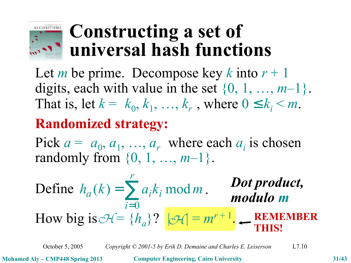

#### **Constructing a set of universal hash functions**

Let *m* be prime. Decompose key *k* into  $r + 1$ digits, each with value in the set  $\{0, 1, ..., m-1\}$ . That is, let  $k = \langle k_0, k_1, ..., k_r \rangle$ , where  $0 \le k_i \le m$ .

#### **Randomized strategy:**

Pick  $a = \langle a_0, a_1, ..., a_r \rangle$  where each  $a_i$  is chosen randomly from {0, 1, …, *m*–1}.

*r* Define  $h_a(k) = \sum a_i k_i \mod m$ . *Dot product,*  $\sum_{i=0} a_i \kappa_i$  in our *modulo m* How big is  $H \in \{h_a\}$ ?  $|\mathcal{A}| = m^{r+1}$ . REMEMBER **THIS!**  $C\!{\cal H}$ 

October 5, 2005 *Copyright © 2001-5 by Erik D. Demaine and Charles E. Leiserson* L7.10

**Mohamed Aly – CMP448 Spring 2013 Computer Engineering, Cairo University 31/43**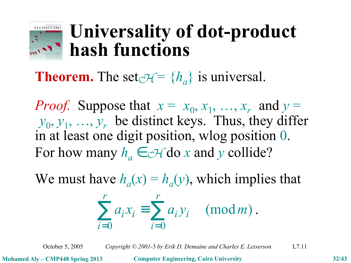

#### **Universality of dot-product hash functions**

**Theorem.** The set  $H_a$  is universal.

*Proof.* Suppose that  $x = \langle x_0, x_1, ..., x_r \rangle$  and  $y =$  $\langle y_0, y_1, ..., y_r \rangle$  be distinct keys. Thus, they differ in at least one digit position, wlog position 0. For how many  $h_a \in \mathcal{A}$  do *x* and *y* collide?

We must have  $h_a(x) = h_a(y)$ , which implies that

$$
\sum_{i=0}^r a_i x_i \equiv \sum_{i=0}^r a_i y_i \pmod{m}.
$$

October 5, 2005 *Copyright © 2001-5 by Erik D. Demaine and Charles E. Leiserson* L7.11

**Mohamed Aly – CMP448 Spring 2013 Computer Engineering, Cairo University 32/43**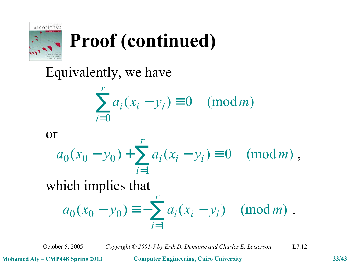

Equivalently, we have

$$
\sum_{i=0}^{r} a_i (x_i - y_i) \equiv 0 \pmod{m}
$$

or

$$
a_0(x_0 - y_0) + \sum_{i=1}^r a_i(x_i - y_i) \equiv 0 \pmod{m},
$$

which implies that

$$
a_0(x_0 - y_0) \equiv -\sum_{i=1}^r a_i (x_i - y_i) \pmod{m} \, .
$$

October 5, 2005 *Copyright © 2001-5 by Erik D. Demaine and Charles E. Leiserson* L7.12

**Mohamed Aly – CMP448 Spring 2013 Computer Engineering, Cairo University 33/43**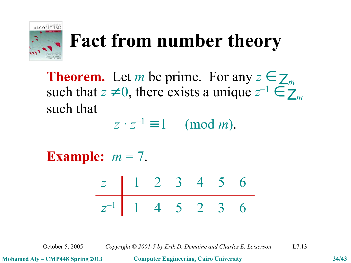

### **Fact from number theory**

**Theorem.** Let *m* be prime. For any  $z \in \mathbb{Z}_m$ such that  $z \neq 0$ , there exists a unique  $z^{-1} \in \mathbb{Z}_m$ such that

 $z \cdot z^{-1} \equiv 1 \pmod{m}$ .

**Example:** *m* = 7.

$$
\begin{array}{c|cccccc}\nz & 1 & 2 & 3 & 4 & 5 & 6 \\
\hline\nz^{-1} & 1 & 4 & 5 & 2 & 3 & 6\n\end{array}
$$

October 5, 2005 *Copyright © 2001-5 by Erik D. Demaine and Charles E. Leiserson* L7.13

**Mohamed Aly – CMP448 Spring 2013 Computer Engineering, Cairo University 34/43**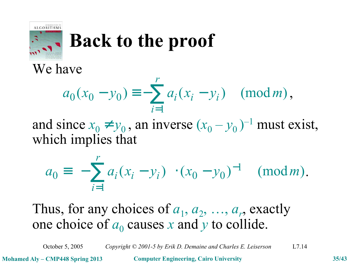

### **Back to the proof**

We have

$$
a_0(x_0 - y_0) \equiv -\sum_{i=1}^r a_i (x_i - y_i) \pmod{m},
$$

and since  $x_0 \neq y_0$ , an inverse  $(x_0 - y_0)^{-1}$  must exist, which implies that

$$
a_0 \equiv \left(-\sum_{i=1}^r a_i(x_i - y_i)\right) \cdot (x_0 - y_0)^{-1} \pmod{m}.
$$

Thus, for any choices of  $a_1, a_2, ..., a_r$ , exactly one choice of  $a_0$  causes *x* and *y* to collide.

October 5, 2005 *Copyright © 2001-5 by Erik D. Demaine and Charles E. Leiserson* L7.14

**Mohamed Aly – CMP448 Spring 2013 Computer Engineering, Cairo University 35/43**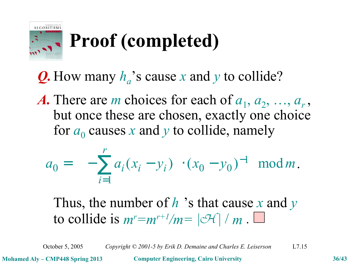

# **Proof (completed)**

*Q***.** How many  $h_a$ 's cause *x* and *y* to collide?

*A*. There are *m* choices for each of  $a_1, a_2, ..., a_r$ , but once these are chosen, exactly one choice for  $a_0$  causes x and y to collide, namely

$$
a_0 = \left( \left( -\sum_{i=1}^r a_i (x_i - y_i) \right) \cdot (x_0 - y_0)^{-1} \right) \mod m.
$$

Thus, the number of *h* 's that cause *x* and *y* to collide is  $m^r = m^{r+1}/m = |\mathcal{H}| / m$ .

October 5, 2005 *Copyright © 2001-5 by Erik D. Demaine and Charles E. Leiserson* L7.15

**Mohamed Aly – CMP448 Spring 2013 Computer Engineering, Cairo University 36/43**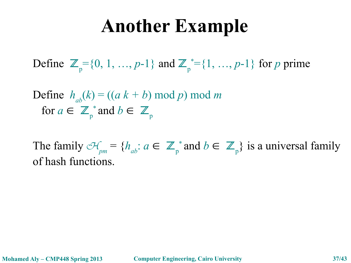#### **Another Example**

Define  $\mathbb{Z}_p = \{0, 1, ..., p-1\}$  and  $\mathbb{Z}_p^* = \{1, ..., p-1\}$  for *p* prime

**Define**  $h_{ab}(k) = ((a k + b) \text{ mod } p) \text{ mod } m$ for  $a \in \mathbb{Z}_p^*$  and  $b \in \mathbb{Z}_p$ 

The family  $\mathcal{A}_{pm} = \{h_{ab}: a \in \mathbb{Z}_p^*\}$  and  $b \in \mathbb{Z}_p\}$  is a universal family of hash functions.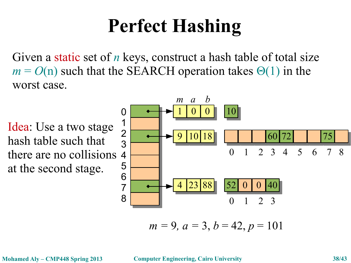#### **Perfect Hashing**

Given a static set of *n* keys, construct a hash table of total size  $m = O(n)$  such that the SEARCH operation takes  $\Theta(1)$  in the worst case.

Idea: Use a two stage hash table such that there are no collisions at the second stage.



$$
m=9, a=3, b=42, p=101
$$

**Mohamed Aly – CMP448 Spring 2013 Computer Engineering, Cairo University 38/43**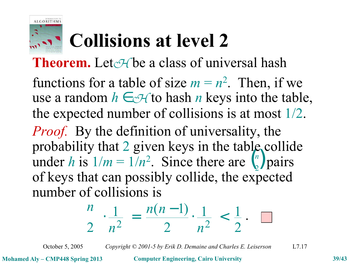

### **Collisions at level 2**

Theorem. Let *H* be a class of universal hash

functions for a table of size  $m = n^2$ . Then, if we use a random  $h \in \mathcal{H}$  to hash *n* keys into the table, the expected number of collisions is at most 1/2. *Proof.* By the definition of universality, the  $\binom{n}{2}$ probability that 2 given keys in the table collide under *h* is  $1/m = 1/n^2$ . Since there are  $\binom{n}{2}$ . Since there are  $\binom{n}{2}$  pairs of keys that can possibly collide, the expected number of collisions is

$$
\binom{n}{2} \cdot \frac{1}{n^2} = \frac{n(n-1)}{2} \cdot \frac{1}{n^2} < \frac{1}{2} \cdot \Box
$$

October 5, 2005 *Copyright © 2001-5 by Erik D. Demaine and Charles E. Leiserson* L7.17

**Mohamed Aly – CMP448 Spring 2013 Computer Engineering, Cairo University 39/43**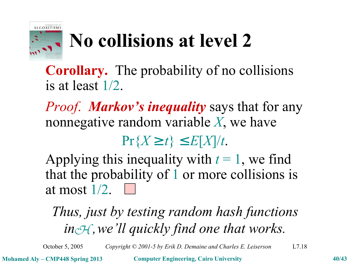

# **No collisions at level 2**

**Corollary.** The probability of no collisions is at least 1/2.

*Proof*. *Markov's inequality* says that for any nonnegative random variable *X*, we have

 $Pr{X \ge t} \le E[X]/t$ .

Applying this inequality with  $t = 1$ , we find that the probability of 1 or more collisions is at most 1/2.

*Thus, just by testing random hash functions in*<sup> $A$ </sup>, we'll quickly find one that works.

October 5, 2005 *Copyright © 2001-5 by Erik D. Demaine and Charles E. Leiserson* L7.18

**Mohamed Aly – CMP448 Spring 2013 Computer Engineering, Cairo University 40/43**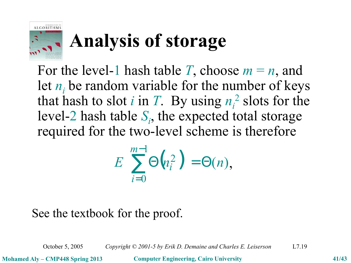

### **Analysis of storage**

For the level-1 hash table *T*, choose *m* = *n*, and let  $n_i$  be random variable for the number of keys that hash to slot *i* in *T*. By using  $n_i^2$  slots for the level-2 hash table *S<sup>i</sup>* , the expected total storage required for the two-level scheme is therefore

$$
E\left[\sum_{i=0}^{m-1}\Theta\left(n_i^2\right)\right]=\Theta(n),
$$

#### See the textbook for the proof.

October 5, 2005 *Copyright © 2001-5 by Erik D. Demaine and Charles E. Leiserson* L7.19

**Mohamed Aly – CMP448 Spring 2013 Computer Engineering, Cairo University 41/43**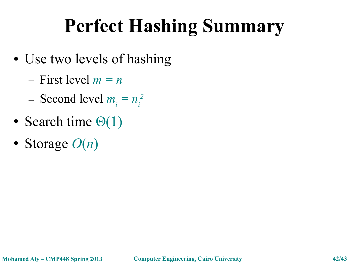### **Perfect Hashing Summary**

- Use two levels of hashing
	- First level *m = n*
	- $-$  Second level  $m_i = n_i^2$
- Search time  $\Theta(1)$
- Storage  $O(n)$